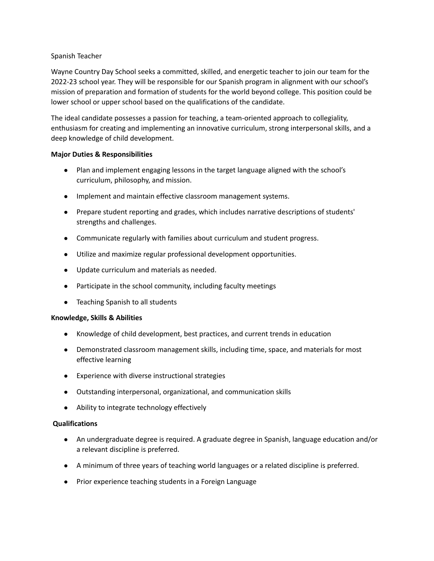## Spanish Teacher

Wayne Country Day School seeks a committed, skilled, and energetic teacher to join our team for the 2022-23 school year. They will be responsible for our Spanish program in alignment with our school's mission of preparation and formation of students for the world beyond college. This position could be lower school or upper school based on the qualifications of the candidate.

The ideal candidate possesses a passion for teaching, a team-oriented approach to collegiality, enthusiasm for creating and implementing an innovative curriculum, strong interpersonal skills, and a deep knowledge of child development.

## **Major Duties & Responsibilities**

- Plan and implement engaging lessons in the target language aligned with the school's curriculum, philosophy, and mission.
- Implement and maintain effective classroom management systems.
- Prepare student reporting and grades, which includes narrative descriptions of students' strengths and challenges.
- Communicate regularly with families about curriculum and student progress.
- Utilize and maximize regular professional development opportunities.
- Update curriculum and materials as needed.
- Participate in the school community, including faculty meetings
- Teaching Spanish to all students

## **Knowledge, Skills & Abilities**

- Knowledge of child development, best practices, and current trends in education
- Demonstrated classroom management skills, including time, space, and materials for most effective learning
- Experience with diverse instructional strategies
- Outstanding interpersonal, organizational, and communication skills
- Ability to integrate technology effectively

## **Qualifications**

- An undergraduate degree is required. A graduate degree in Spanish, language education and/or a relevant discipline is preferred.
- A minimum of three years of teaching world languages or a related discipline is preferred.
- Prior experience teaching students in a Foreign Language